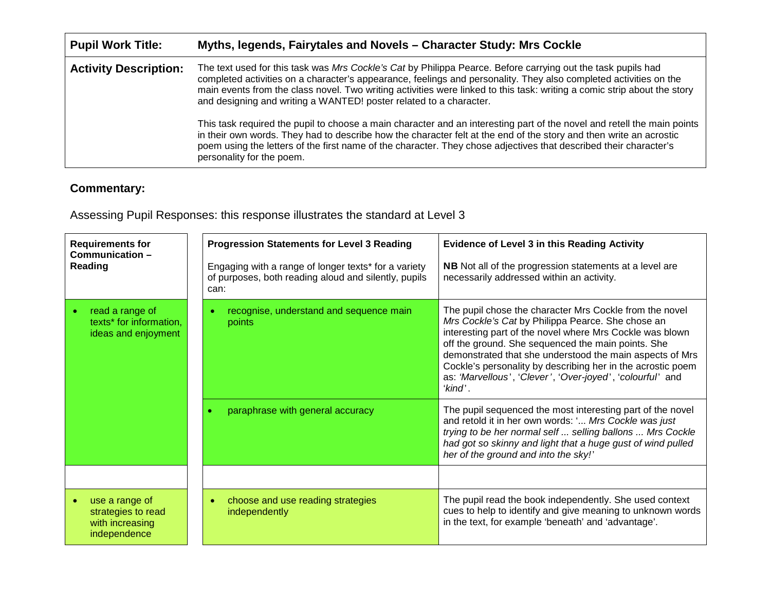| <b>Pupil Work Title:</b>     | Myths, legends, Fairytales and Novels - Character Study: Mrs Cockle                                                                                                                                                                                                                                                                                                                                                                                                                                                                                                                                                                                                                                                                                                                                                                    |
|------------------------------|----------------------------------------------------------------------------------------------------------------------------------------------------------------------------------------------------------------------------------------------------------------------------------------------------------------------------------------------------------------------------------------------------------------------------------------------------------------------------------------------------------------------------------------------------------------------------------------------------------------------------------------------------------------------------------------------------------------------------------------------------------------------------------------------------------------------------------------|
| <b>Activity Description:</b> | The text used for this task was Mrs Cockle's Cat by Philippa Pearce. Before carrying out the task pupils had<br>completed activities on a character's appearance, feelings and personality. They also completed activities on the<br>main events from the class novel. Two writing activities were linked to this task: writing a comic strip about the story<br>and designing and writing a WANTED! poster related to a character.<br>This task required the pupil to choose a main character and an interesting part of the novel and retell the main points<br>in their own words. They had to describe how the character felt at the end of the story and then write an acrostic<br>poem using the letters of the first name of the character. They chose adjectives that described their character's<br>personality for the poem. |

## **Commentary:**

Assessing Pupil Responses: this response illustrates the standard at Level 3

| <b>Requirements for</b><br>Communication-<br>Reading                    | <b>Progression Statements for Level 3 Reading</b><br>Engaging with a range of longer texts* for a variety<br>of purposes, both reading aloud and silently, pupils<br>can: | <b>Evidence of Level 3 in this Reading Activity</b><br><b>NB</b> Not all of the progression statements at a level are<br>necessarily addressed within an activity.                                                                                                                                                                                                                                                                |  |
|-------------------------------------------------------------------------|---------------------------------------------------------------------------------------------------------------------------------------------------------------------------|-----------------------------------------------------------------------------------------------------------------------------------------------------------------------------------------------------------------------------------------------------------------------------------------------------------------------------------------------------------------------------------------------------------------------------------|--|
| read a range of<br>texts* for information,<br>ideas and enjoyment       | recognise, understand and sequence main<br>points                                                                                                                         | The pupil chose the character Mrs Cockle from the novel<br>Mrs Cockle's Cat by Philippa Pearce. She chose an<br>interesting part of the novel where Mrs Cockle was blown<br>off the ground. She sequenced the main points. She<br>demonstrated that she understood the main aspects of Mrs<br>Cockle's personality by describing her in the acrostic poem<br>as: 'Marvellous', 'Clever', 'Over-joyed', 'colourful' and<br>'kind'. |  |
|                                                                         | paraphrase with general accuracy                                                                                                                                          | The pupil sequenced the most interesting part of the novel<br>and retold it in her own words: ' Mrs Cockle was just<br>trying to be her normal self  selling ballons  Mrs Cockle<br>had got so skinny and light that a huge gust of wind pulled<br>her of the ground and into the sky!'                                                                                                                                           |  |
|                                                                         |                                                                                                                                                                           |                                                                                                                                                                                                                                                                                                                                                                                                                                   |  |
| use a range of<br>strategies to read<br>with increasing<br>independence | choose and use reading strategies<br>$\bullet$<br>independently                                                                                                           | The pupil read the book independently. She used context<br>cues to help to identify and give meaning to unknown words<br>in the text, for example 'beneath' and 'advantage'.                                                                                                                                                                                                                                                      |  |